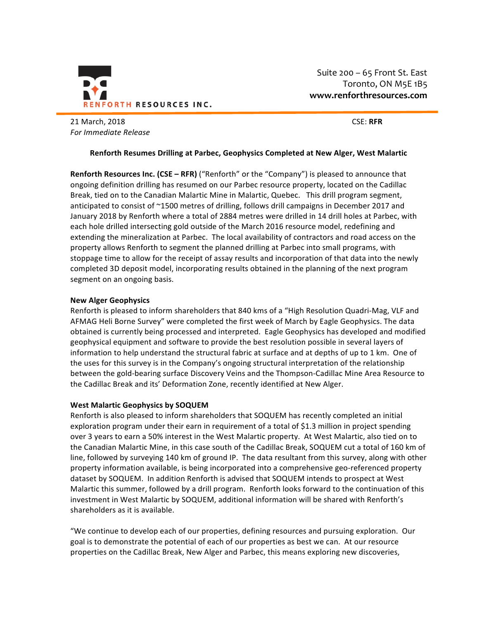

Suite  $200 - 65$  Front St. East Toronto, ON M5E 1B5 **www.renforthresources.com**

21 March, 2018 CSE: **RFR** *For Immediate Release*

# **Renforth Resumes Drilling at Parbec, Geophysics Completed at New Alger, West Malartic**

**Renforth Resources Inc. (CSE – RFR) ("Renforth" or the "Company") is pleased to announce that** ongoing definition drilling has resumed on our Parbec resource property, located on the Cadillac Break, tied on to the Canadian Malartic Mine in Malartic, Quebec. This drill program segment, anticipated to consist of  $\sim$ 1500 metres of drilling, follows drill campaigns in December 2017 and January 2018 by Renforth where a total of 2884 metres were drilled in 14 drill holes at Parbec, with each hole drilled intersecting gold outside of the March 2016 resource model, redefining and extending the mineralization at Parbec. The local availability of contractors and road access on the property allows Renforth to segment the planned drilling at Parbec into small programs, with stoppage time to allow for the receipt of assay results and incorporation of that data into the newly completed 3D deposit model, incorporating results obtained in the planning of the next program segment on an ongoing basis.

# **New Alger Geophysics**

Renforth is pleased to inform shareholders that 840 kms of a "High Resolution Quadri-Mag, VLF and AFMAG Heli Borne Survey" were completed the first week of March by Eagle Geophysics. The data obtained is currently being processed and interpreted. Eagle Geophysics has developed and modified geophysical equipment and software to provide the best resolution possible in several layers of information to help understand the structural fabric at surface and at depths of up to 1 km. One of the uses for this survey is in the Company's ongoing structural interpretation of the relationship between the gold-bearing surface Discovery Veins and the Thompson-Cadillac Mine Area Resource to the Cadillac Break and its' Deformation Zone, recently identified at New Alger.

# **West Malartic Geophysics by SOQUEM**

Renforth is also pleased to inform shareholders that SOQUEM has recently completed an initial exploration program under their earn in requirement of a total of \$1.3 million in project spending over 3 years to earn a 50% interest in the West Malartic property. At West Malartic, also tied on to the Canadian Malartic Mine, in this case south of the Cadillac Break, SOQUEM cut a total of 160 km of line, followed by surveying 140 km of ground IP. The data resultant from this survey, along with other property information available, is being incorporated into a comprehensive geo-referenced property dataset by SOQUEM. In addition Renforth is advised that SOQUEM intends to prospect at West Malartic this summer, followed by a drill program. Renforth looks forward to the continuation of this investment in West Malartic by SOQUEM, additional information will be shared with Renforth's shareholders as it is available.

"We continue to develop each of our properties, defining resources and pursuing exploration. Our goal is to demonstrate the potential of each of our properties as best we can. At our resource properties on the Cadillac Break, New Alger and Parbec, this means exploring new discoveries,